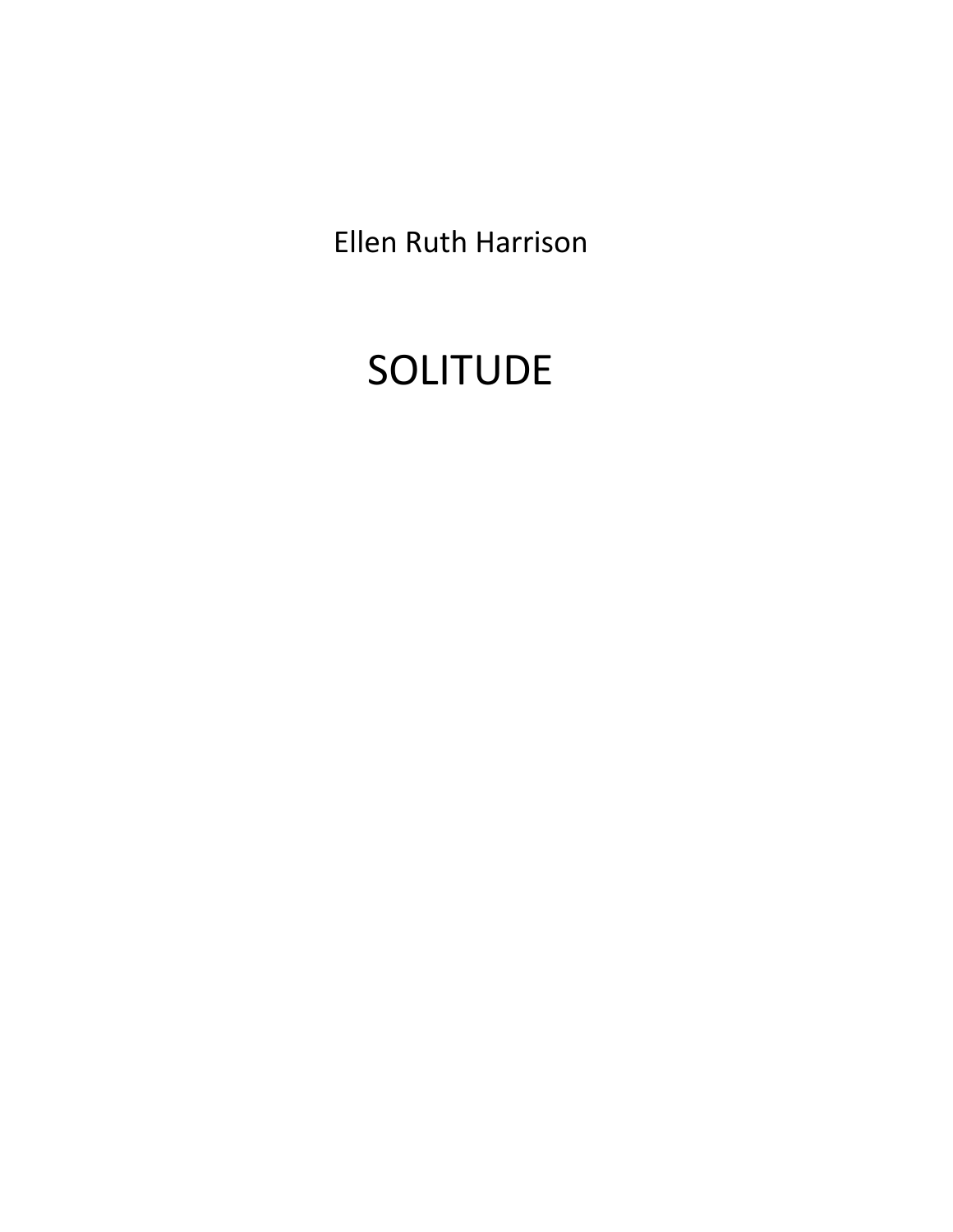**Ellen Ruth Harrison** 

# SOLITUDE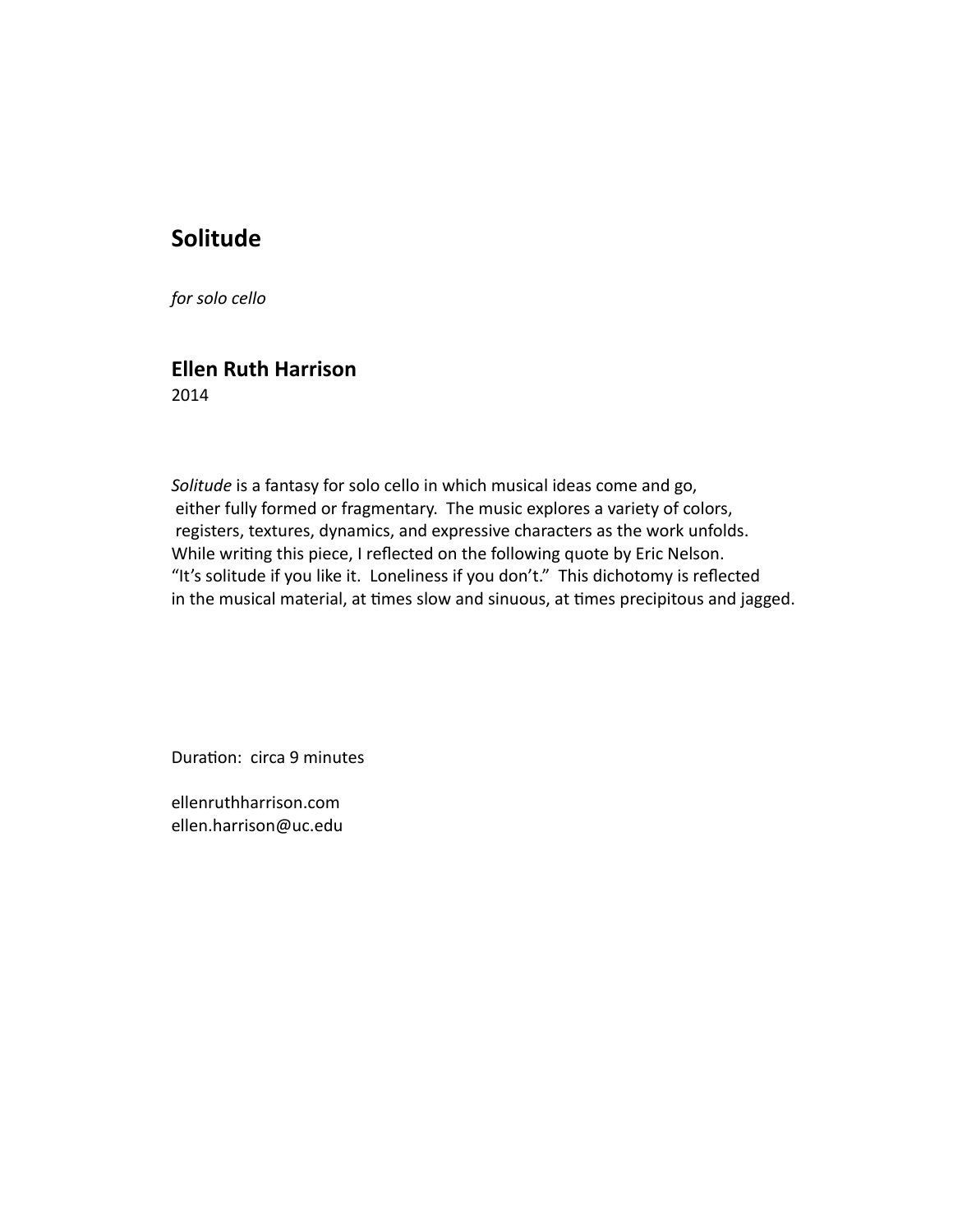### **Solitude**

for solo cello

#### **Ellen Ruth Harrison**

2014

Solitude is a fantasy for solo cello in which musical ideas come and go, either fully formed or fragmentary. The music explores a variety of colors, registers, textures, dynamics, and expressive characters as the work unfolds. While writing this piece, I reflected on the following quote by Eric Nelson. "It's solitude if you like it. Loneliness if you don't." This dichotomy is reflected in the musical material, at times slow and sinuous, at times precipitous and jagged.

Duration: circa 9 minutes

ellenruthharrison.com ellen.harrison@uc.edu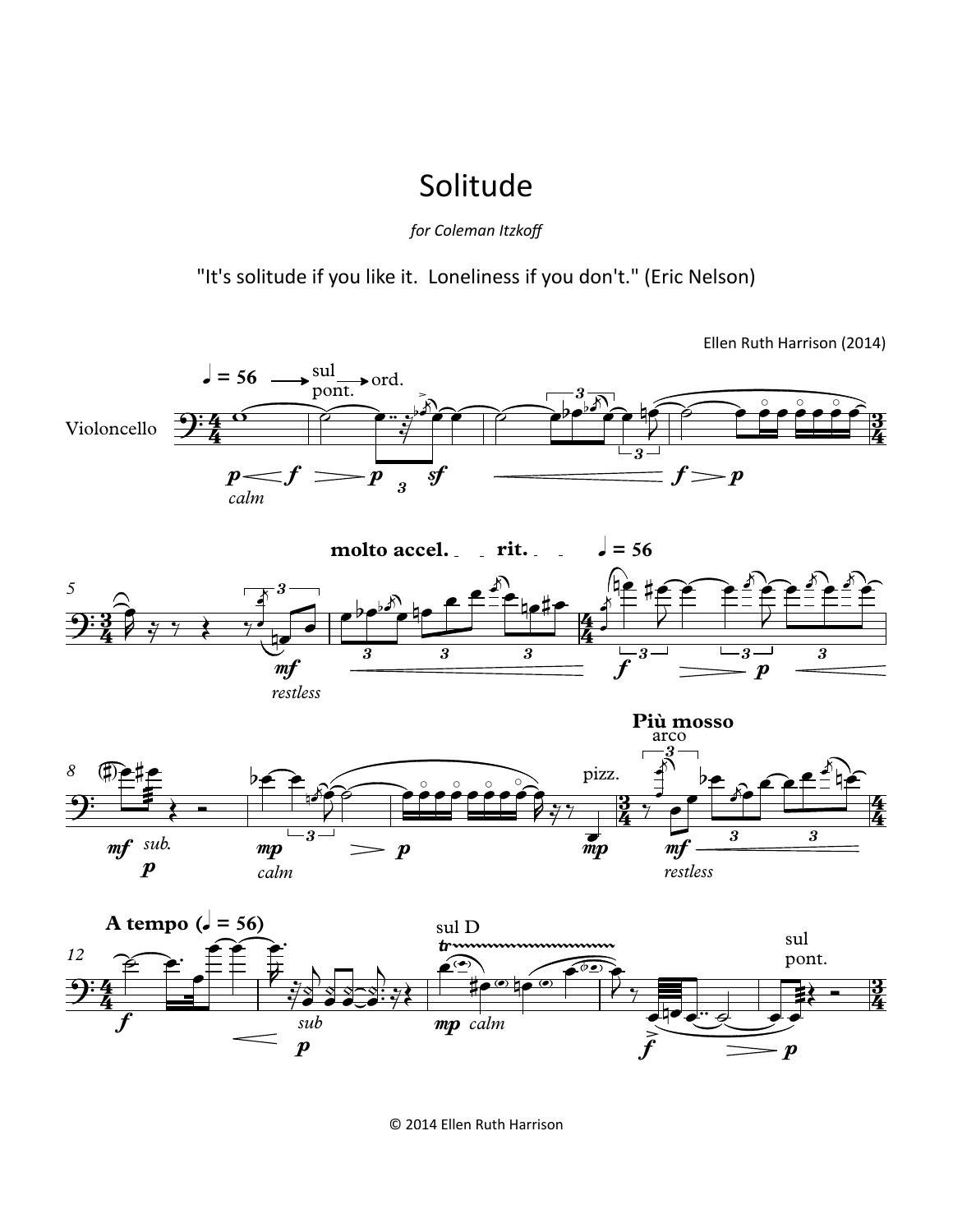## Solitude

#### *for Coleman Itzkoff*

"It's solitude if you like it. Loneliness if you don't." (Eric Nelson)

Ellen Ruth Harrison (2014)



© 2014 Ellen Ruth Harrison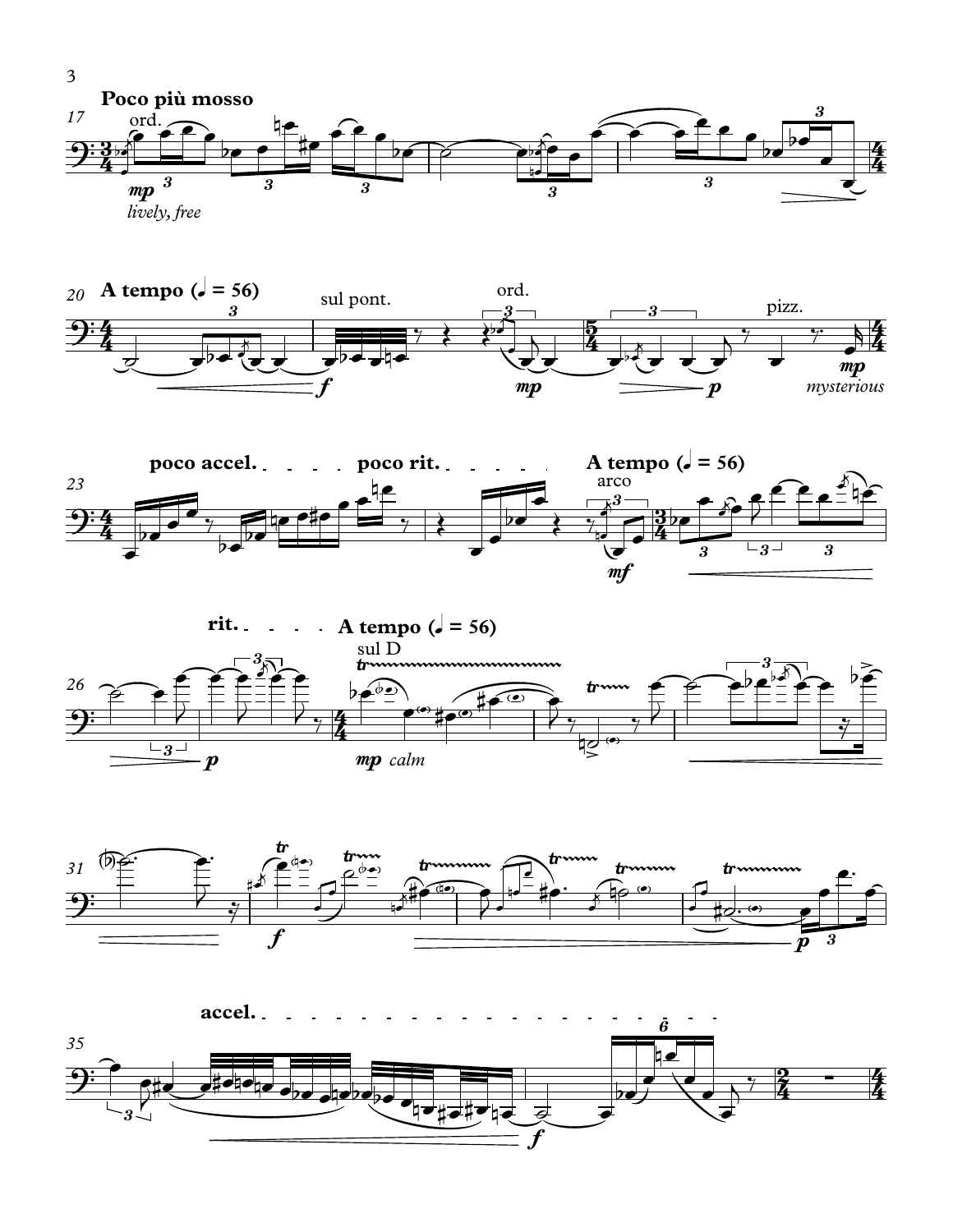









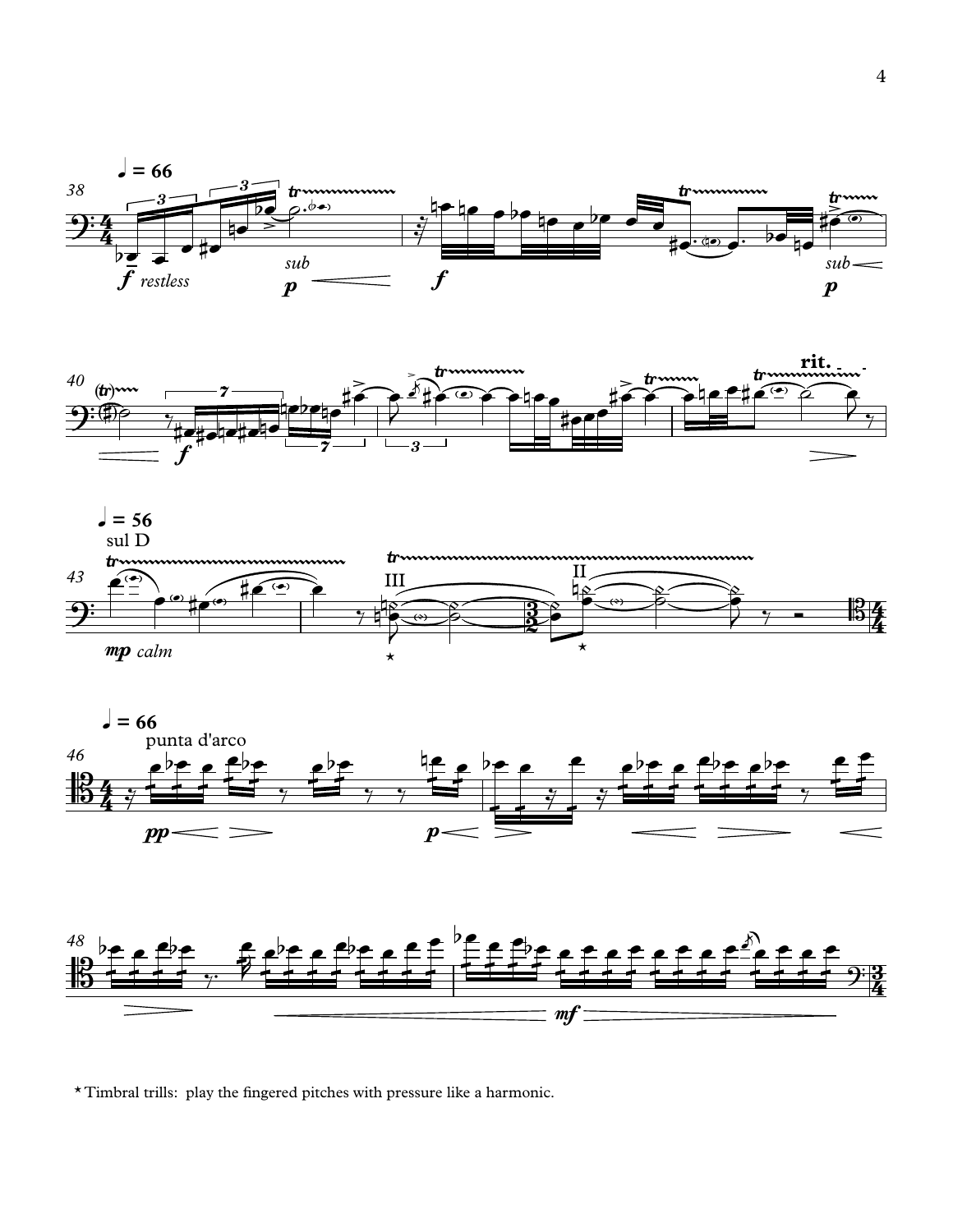









<sup>\*</sup> Timbral trills: play the fingered pitches with pressure like a harmonic.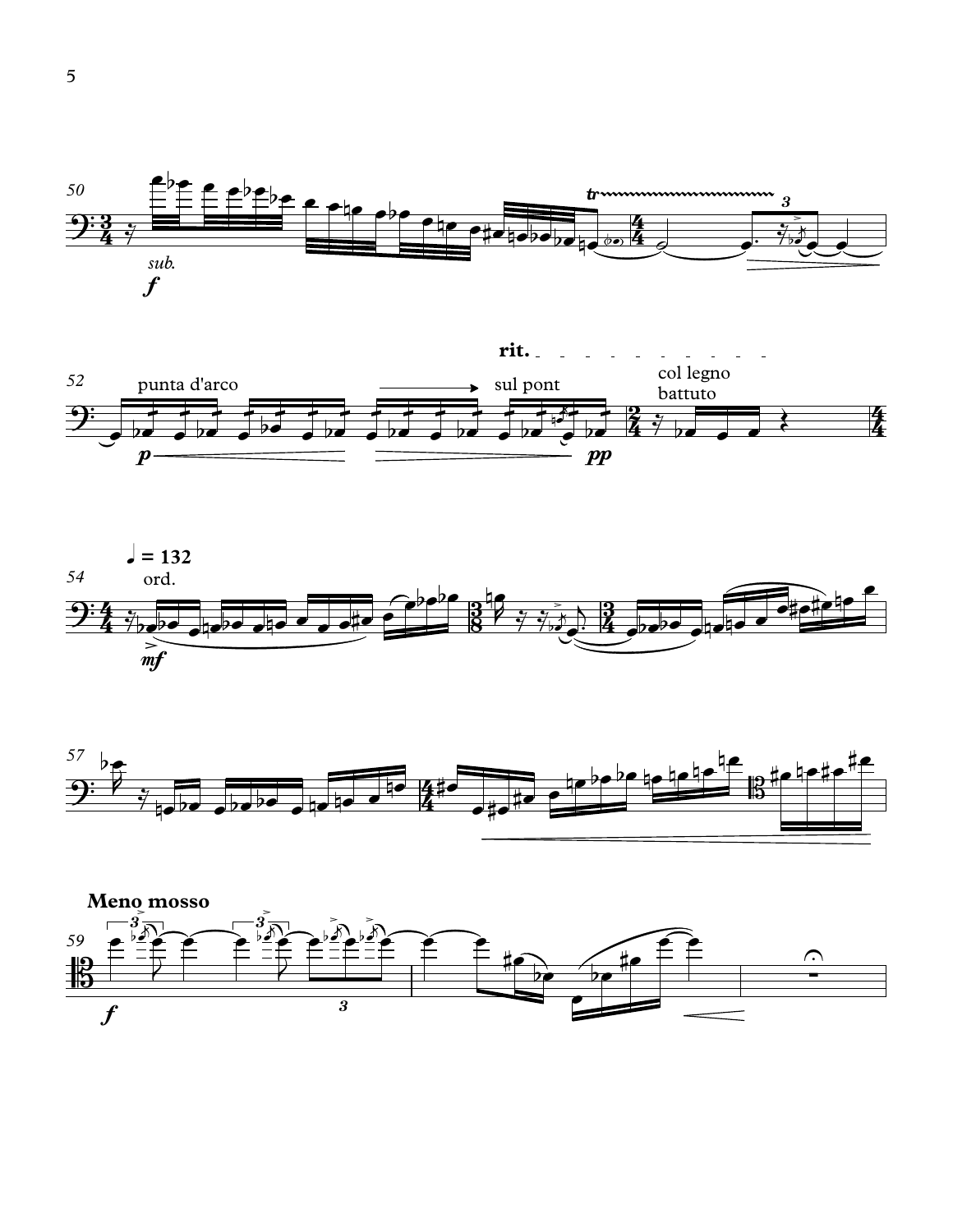







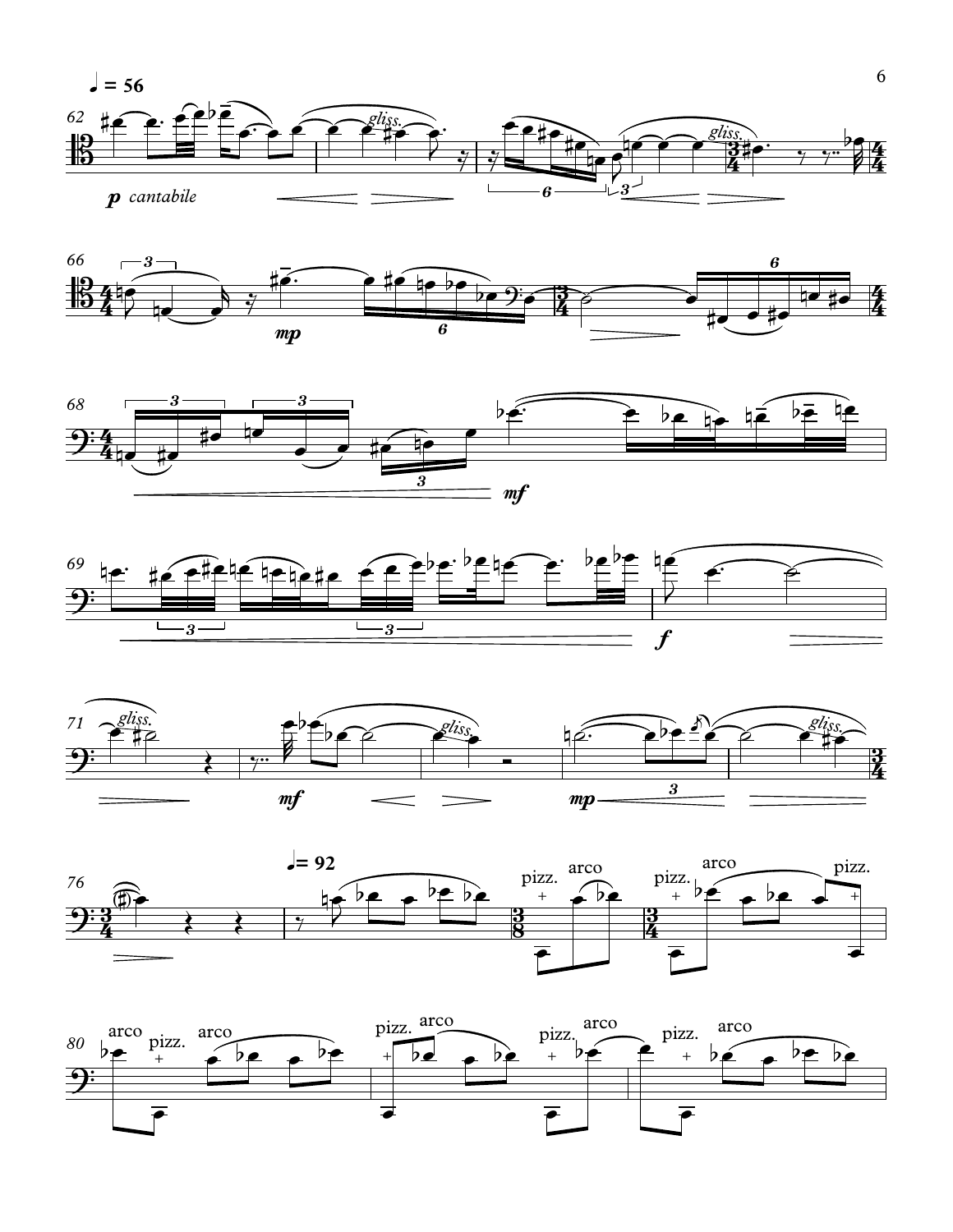











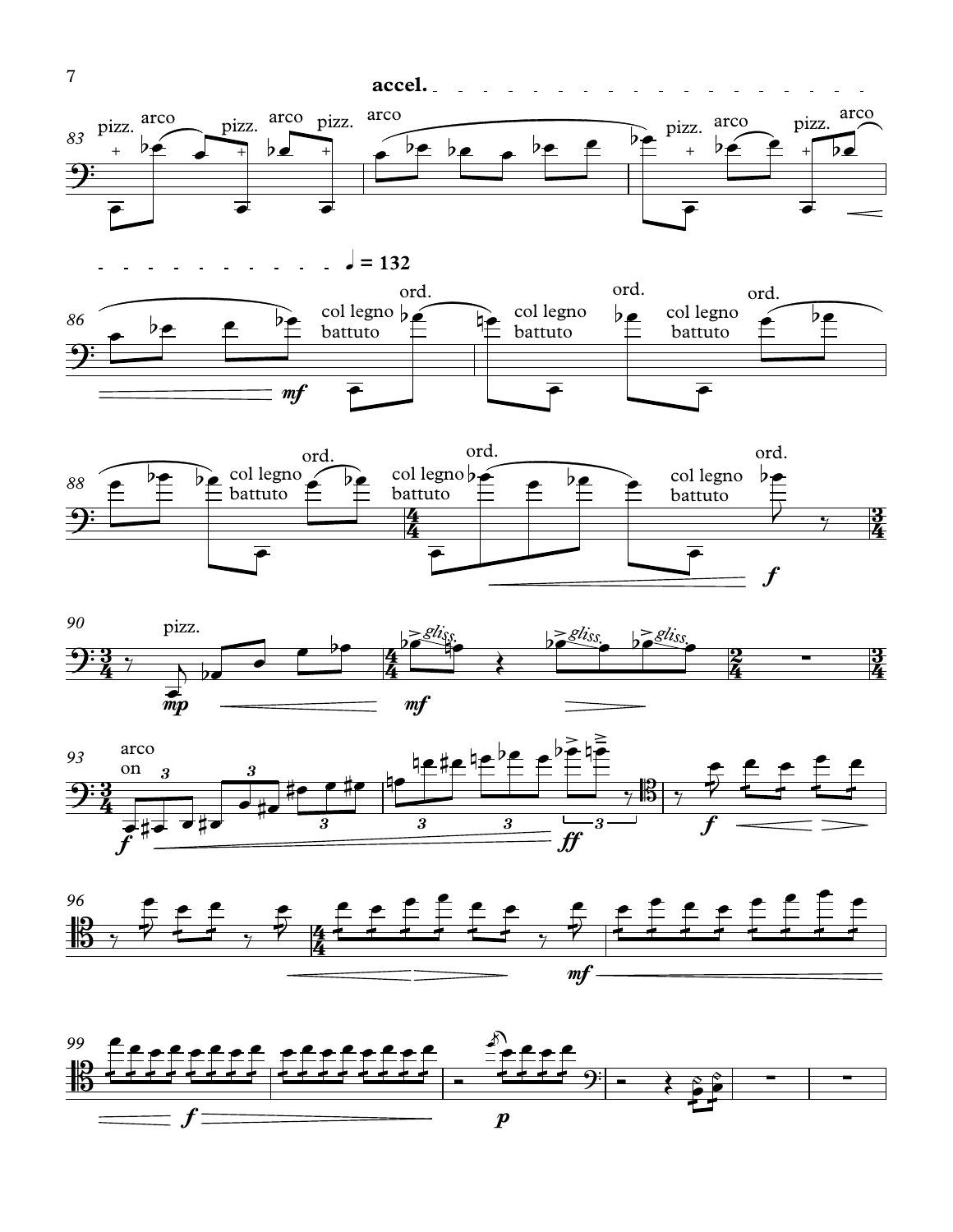